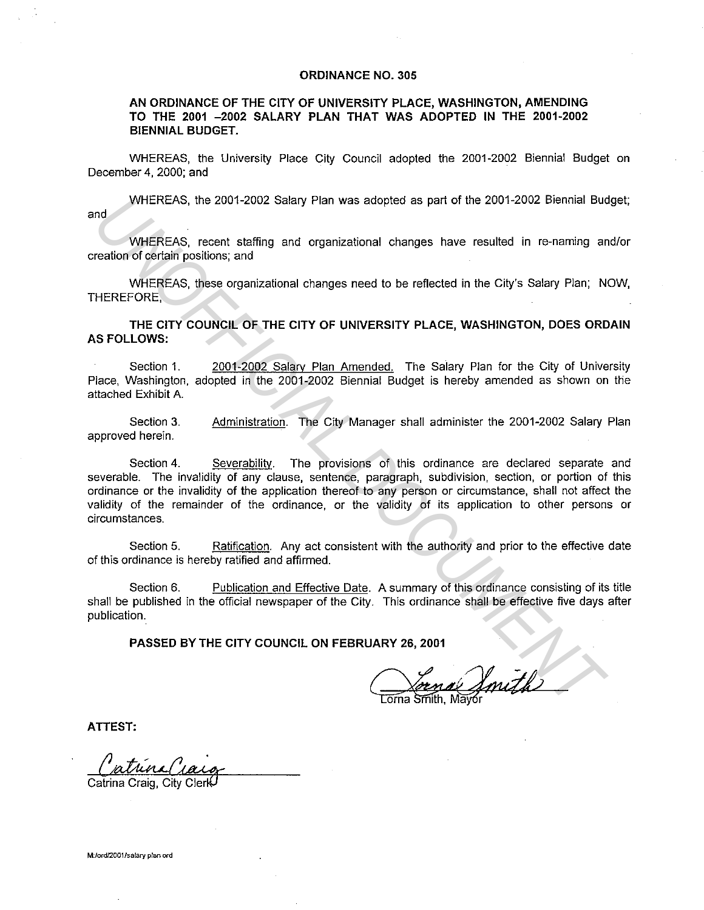## **ORDINANCE NO. 305**

## **AN ORDINANCE OF THE CITY OF UNIVERSITY PLACE, WASHINGTON, AMENDING TO THE 2001 -2002 SALARY PLAN THAT WAS ADOPTED IN THE 2001-2002 BIENNIAL BUDGET.**

WHEREAS, the University Place City Council adopted the 2001-2002 Biennial Budget on December 4, 2000; and

WHEREAS, the 2001-2002 Salary Plan was adopted as part of the 2001-2002 Biennial Budget; and

WHEREAS, recent staffing and organizational changes have resulted in re-naming and/or creation of certain positions; and

WHEREAS, these organizational changes need to be reflected in the City's Salary Plan; NOW, THEREFORE,

**THE CITY COUNCIL OF THE CITY OF UNIVERSITY PLACE, WASHINGTON, DOES ORDAIN AS FOLLOWS:** 

Section 1. 2001-2002 Salary Plan Amended. The Salary Plan for the City of University Place, Washington, adopted in the 2001-2002 Biennial Budget is hereby amended as shown on the attached Exhibit A.

Section 3. approved herein. Administration. The City Manager shall administer the 2001-2002 Salary Plan

Section 4. Severability. The provisions of this ordinance are declared separate and severable. The invalidity of any clause, sentence, paragraph, subdivision, section, or portion of this ordinance or the invalidity of the application thereof to any person or circumstance, shall not affect the validity of the remainder of the ordinance, or the validity of its application to other persons or circumstances. WHEREAS, the 2001-2002 Salary Plan was adopted as part of the 2001-2002 Biennial Bud<br>
WHEREAS, recent staffing and organizational changes have resulted in re-naming are<br>
WHEREAS, these organizational changes red to be refl

Section 5. Ratification. Any act consistent with the authority and prior to the effective date of this ordinance is hereby ratified and affirmed.

Section 6. Publication and Effective Date. A summary of this ordinance consisting of its title shall be published in the official newspaper of the City. This ordinance shall be effective five days after publication.

**PASSED BY THE CITY COUNCIL ON FEBRUARY 26, 2001** 

**ATTEST:** 

Catrina Craig

Catrina Craig, City Clerk

**M:/ord/2001/salary plan ord**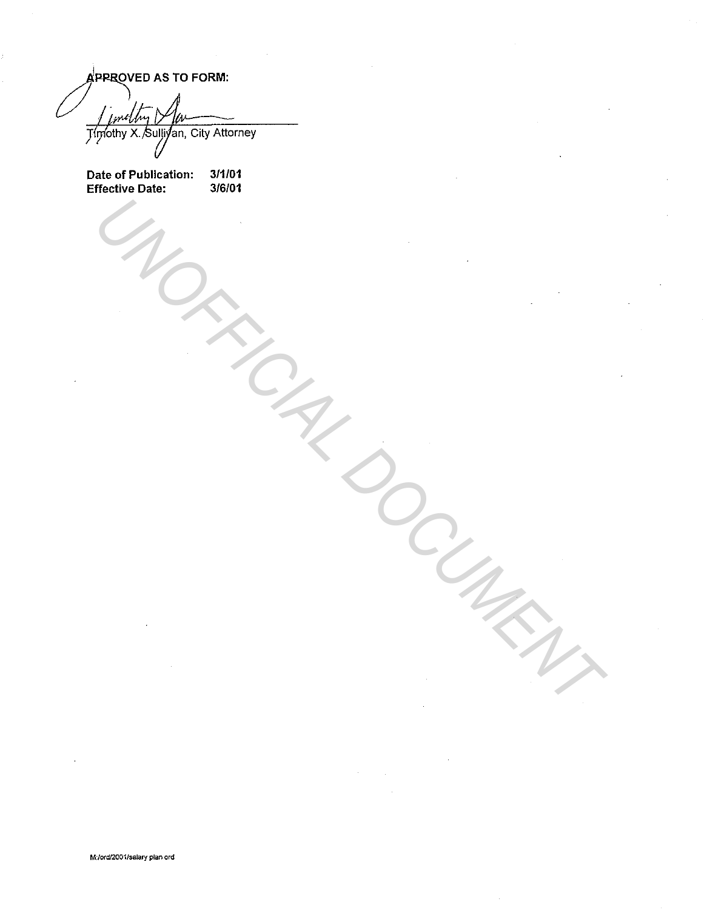A PRROVED AS TO FORM: Timothy X. Sulliyan, City Attorney

Date of Publication: Effective Date: 3/1/01 3/6/01

UNOFFICIAL DOCUMENT